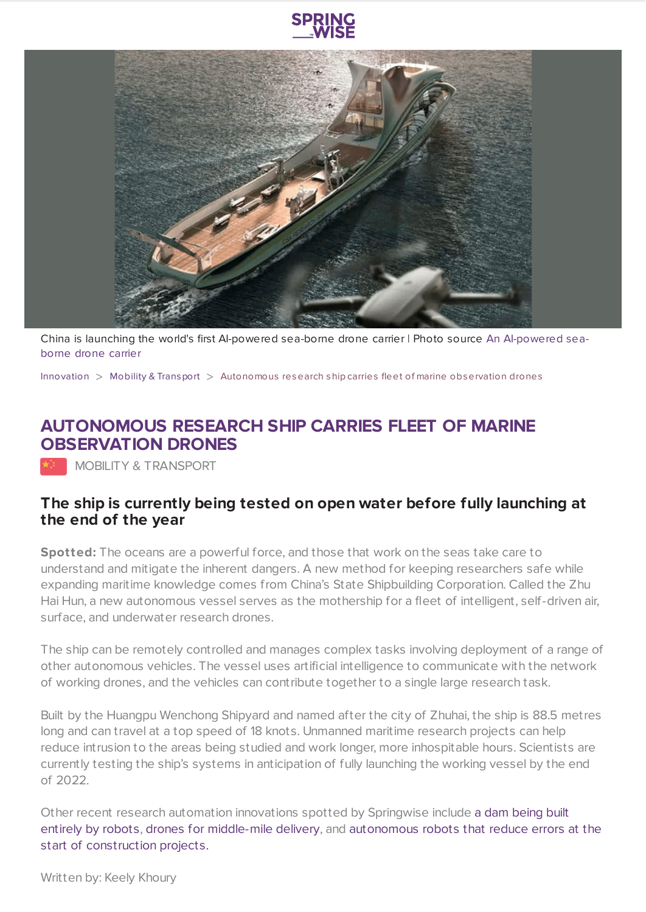



China is launching the world's first AI-powered sea-borne drone carrier | Photo source An [AI-powered](http://www.csic.com.cn/) seaborne drone carrier

[Innovation](https://www.springwise.com/search?type=innovation) > Mobility & [Transport](https://www.springwise.com/search?type=innovation§or=mobility-and-transport) > Autonomous research ship carries fleet of marine observation drones

## **AUTONOMOUS RESEARCH SHIP CARRIES FLEET OF MARINE OBSERVATION DRONES**

MOBILITY & TRANSPORT

## **The ship is currently being tested on open water before fully launching at the end of the year**

**Spotted:** The oceans are a powerful force, and those that work on the seas take care to understand and mitigate the inherent dangers. A new method for keeping researchers safe while expanding maritime knowledge comes from China's State Shipbuilding Corporation. Called the Zhu Hai Hun, a new autonomous vessel serves as the mothership for a fleet of intelligent, self-driven air, surface, and underwater research drones.

The ship can be remotely controlled and manages complex tasks involving deployment of a range of other autonomous vehicles. The vessel uses artificial intelligence to communicate with the network of working drones, and the vehicles can contribute together to a single large research task.

Built by the Huangpu Wenchong Shipyard and named after the city of Zhuhai, the ship is 88.5 metres long and can travel at a top speed of 18 knots. Unmanned maritime research projects can help reduce intrusion to the areas being studied and work longer, more inhospitable hours. Scientists are currently testing the ship's systems in anticipation of fully launching the working vessel by the end of 2022.

Other recent research automation innovations spotted by Springwise include a dam being built entirely by robots, drones for [middle-mile](https://www.springwise.com/innovation/mobility-transport/fed-ex-tests-drones-for-middle-mile-logistics) delivery, and [autonomous](https://www.springwise.com/innovation/architecture-design/a-dam-in-china-built-entirely-by-robots) robots that reduce errors at the start of [construction](https://www.springwise.com/innovation/property-construction/autonomous-robot-prints-construction-layouts) projects.